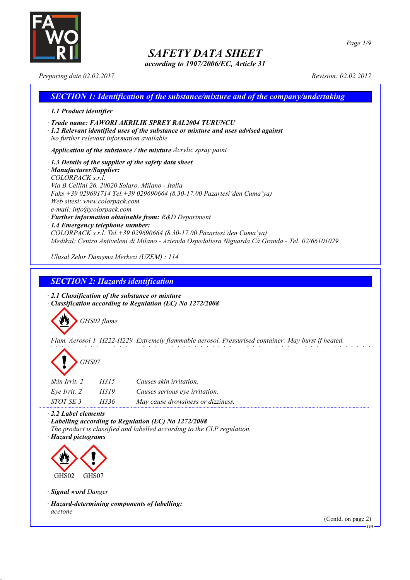

*according to 1907/2006/EC, Article 31*

*Preparing date 02.02.2017 Revision: 02.02.2017*

| <b>SECTION 1: Identification of the substance/mixture and of the company/undertaking</b>                                                                                                                                                                                                                                                                                                                                                                                                                                                                                                     |
|----------------------------------------------------------------------------------------------------------------------------------------------------------------------------------------------------------------------------------------------------------------------------------------------------------------------------------------------------------------------------------------------------------------------------------------------------------------------------------------------------------------------------------------------------------------------------------------------|
| $\cdot$ 1.1 Product identifier                                                                                                                                                                                                                                                                                                                                                                                                                                                                                                                                                               |
| · Trade name: FAWORI AKRILIK SPREY RAL2004 TURUNCU<br>$\cdot$ 1.2 Relevant identified uses of the substance or mixture and uses advised against<br>No further relevant information available.                                                                                                                                                                                                                                                                                                                                                                                                |
| $\cdot$ Application of the substance / the mixture Acrylic spray paint                                                                                                                                                                                                                                                                                                                                                                                                                                                                                                                       |
| $\cdot$ 1.3 Details of the supplier of the safety data sheet<br>· Manufacturer/Supplier:<br>COLORPACK s.r.l.<br>Via B.Cellini 26, 20020 Solaro, Milano - Italia<br>Faks +39 029691714 Tel. +39 029690664 (8.30-17.00 Pazartesi'den Cuma'ya)<br>Web sitesi: www.colorpack.com<br>e-mail: info@colorpack.com<br>· Further information obtainable from: R&D Department<br>$\cdot$ 1.4 Emergency telephone number:<br>COLORPACK s.r.l. Tel. +39 029690664 (8.30-17.00 Pazartesi'den Cuma'ya)<br>Medikal: Centro Antiveleni di Milano - Azienda Ospedaliera Niguarda Cà Granda - Tel. 02/66101029 |
| Ulusal Zehir Danışma Merkezi (UZEM) : 114                                                                                                                                                                                                                                                                                                                                                                                                                                                                                                                                                    |

*SECTION 2: Hazards identification*

*· 2.1 Classification of the substance or mixture · Classification according to Regulation (EC) No 1272/2008*



*Flam. Aerosol 1 H222-H229 Extremely flammable aerosol. Pressurised container: May burst if heated.*



| <i>Skin Irrit.</i> 2 | H315 | Causes skin irritation.            |
|----------------------|------|------------------------------------|
| Eve Irrit. 2         | H319 | Causes serious eye irritation.     |
| STOT SE 3            | H336 | May cause drowsiness or dizziness. |

*· 2.2 Label elements*

*· Labelling according to Regulation (EC) No 1272/2008 The product is classified and labelled according to the CLP regulation.*

*· Hazard pictograms*



*· Signal word Danger*

*· Hazard-determining components of labelling: acetone*

(Contd. on page 2)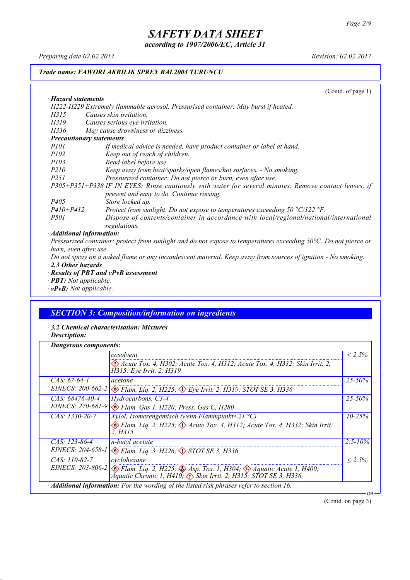*according to 1907/2006/EC, Article 31*

*Preparing date 02.02.2017 Revision: 02.02.2017*

### *Trade name: FAWORI AKRILIK SPREY RAL2004 TURUNCU*

(Contd. of page 1)

| · Hazard statements                                                                                                   |
|-----------------------------------------------------------------------------------------------------------------------|
| H222-H229 Extremely flammable aerosol. Pressurised container: May burst if heated.                                    |
| Causes skin irritation.<br>H315                                                                                       |
| H319<br>Causes serious eye irritation.                                                                                |
| May cause drowsiness or dizziness.<br>H336                                                                            |
| · Precautionary statements                                                                                            |
| If medical advice is needed, have product container or label at hand.<br><i>P101</i>                                  |
| Keep out of reach of children.<br><i>P102</i>                                                                         |
| Read label before use.<br><i>P103</i>                                                                                 |
| <i>P210</i><br>Keep away from heat/sparks/open flames/hot surfaces. - No smoking.                                     |
| Pressurized container: Do not pierce or burn, even after use.<br><i>P251</i>                                          |
| P305+P351+P338 IF IN EYES: Rinse cautiously with water for several minutes. Remove contact lenses, if                 |
| present and easy to do. Continue rinsing.                                                                             |
| Store locked up.<br><i>P405</i>                                                                                       |
| $P410 + P412$<br>Protect from sunlight. Do not expose to temperatures exceeding $50 \degree C/122 \degree F$ .        |
| Dispose of contents/container in accordance with local/regional/national/international<br><i>P501</i><br>regulations. |
| . Additional information:                                                                                             |

*· Additional information:*

Pressurized container: protect from sunlight and do not expose to temperatures exceeding 50°C. Do not pierce or *burn, even after use.*

Do not spray on a naked flame or any incandescent material. Keep away from sources of ignition - No smoking. *· 2.3 Other hazards*

- *· Results of PBT and vPvB assessment*
- *· PBT: Not applicable.*
- *· vPvB: Not applicable.*

## *SECTION 3: Composition/information on ingredients*

- *· 3.2 Chemical characterisation: Mixtures*
- *· Description:*

| Dangerous components: |                                                                                                                                                                                           |              |
|-----------------------|-------------------------------------------------------------------------------------------------------------------------------------------------------------------------------------------|--------------|
|                       | cosolvent                                                                                                                                                                                 | $< 2.5\%$    |
|                       | Acute Tox. 4, H302; Acute Tox. 4, H312; Acute Tox. 4, H332; Skin Irrit. 2,<br>H315; Eye Irrit. 2, H319                                                                                    |              |
| $CAS. 67-64-1$        | acetone                                                                                                                                                                                   | $25 - 50\%$  |
|                       | EINECS: 200-662-2 $\otimes$ Flam. Lig. 2, H225; $\otimes$ Eye Irrit. 2, H319; STOT SE 3, H336                                                                                             |              |
| $CAS. 68476-40-4$     | Hydrocarbons, C3-4                                                                                                                                                                        | $25 - 50\%$  |
| EINECS: 270-681-9     | Elam. Gas 1, H220; Press. Gas C, H280                                                                                                                                                     |              |
| $CAS: 1330-20-7$      | <i>Xylol, Isomerengemisch (wenn Flammpunkt</i> <21 $^{\circ}$ C)                                                                                                                          | $10 - 25%$   |
|                       | Flam. Liq. 2, H225; $\Diamond$ Acute Tox. 4, H312; Acute Tox. 4, H332; Skin Irrit.<br>2. H315                                                                                             |              |
| CAS: 123-86-4         | n-butyl acetate                                                                                                                                                                           | $2.5 - 10\%$ |
|                       | EINECS: 204-658-1 & Flam. Liq. 3, H226; STOT SE 3, H336                                                                                                                                   |              |
| $CAS: 110-82-7$       | cyclohexane                                                                                                                                                                               | $< 2.5\%$    |
|                       | EINECS: 203-806-2 $\otimes$ Flam. Liq. 2, H225; $\otimes$ Asp. Tox. 1, H304; $\otimes$ Aquatic Acute 1, H400;<br>Aquatic Chronic 1, H410; $\Diamond$ Skin Irrit. 2, H315; STOT SE 3, H336 |              |
|                       | · Additional information: For the wording of the listed risk phrases refer to section 16.                                                                                                 | GB           |

(Contd. on page 3)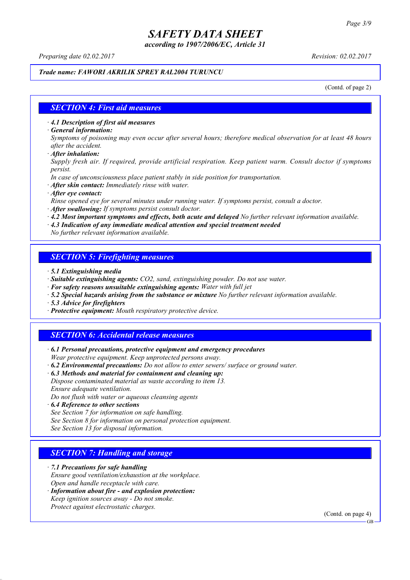*according to 1907/2006/EC, Article 31*

*Preparing date 02.02.2017 Revision: 02.02.2017*

#### *Trade name: FAWORI AKRILIK SPREY RAL2004 TURUNCU*

(Contd. of page 2)

#### *SECTION 4: First aid measures*

*· 4.1 Description of first aid measures*

*· General information:*

Symptoms of poisoning may even occur after several hours; therefore medical observation for at least 48 hours *after the accident.*

*· After inhalation:*

*Supply fresh air. If required, provide artificial respiration. Keep patient warm. Consult doctor if symptoms persist.*

*In case of unconsciousness place patient stably in side position for transportation.*

- *· After skin contact: Immediately rinse with water.*
- *· After eye contact:*

*Rinse opened eye for several minutes under running water. If symptoms persist, consult a doctor.*

*· After swallowing: If symptoms persist consult doctor.*

*· 4.2 Most important symptoms and effects, both acute and delayed No further relevant information available.*

*· 4.3 Indication of any immediate medical attention and special treatment needed*

*No further relevant information available.*

### *SECTION 5: Firefighting measures*

- *· 5.1 Extinguishing media*
- *· Suitable extinguishing agents: CO2, sand, extinguishing powder. Do not use water.*
- *· For safety reasons unsuitable extinguishing agents: Water with full jet*
- *· 5.2 Special hazards arising from the substance or mixture No further relevant information available.*
- *· 5.3 Advice for firefighters*
- *· Protective equipment: Mouth respiratory protective device.*

### *SECTION 6: Accidental release measures*

*· 6.1 Personal precautions, protective equipment and emergency procedures Wear protective equipment. Keep unprotected persons away.*

*· 6.2 Environmental precautions: Do not allow to enter sewers/ surface or ground water.*

*· 6.3 Methods and material for containment and cleaning up:*

*Dispose contaminated material as waste according to item 13. Ensure adequate ventilation.*

*Do not flush with water or aqueous cleansing agents*

- *· 6.4 Reference to other sections*
- *See Section 7 for information on safe handling.*

*See Section 8 for information on personal protection equipment.*

*See Section 13 for disposal information.*

#### *SECTION 7: Handling and storage*

*· 7.1 Precautions for safe handling*

*Ensure good ventilation/exhaustion at the workplace.*

*Open and handle receptacle with care.*

*· Information about fire - and explosion protection: Keep ignition sources away - Do not smoke.*

*Protect against electrostatic charges.*

(Contd. on page 4)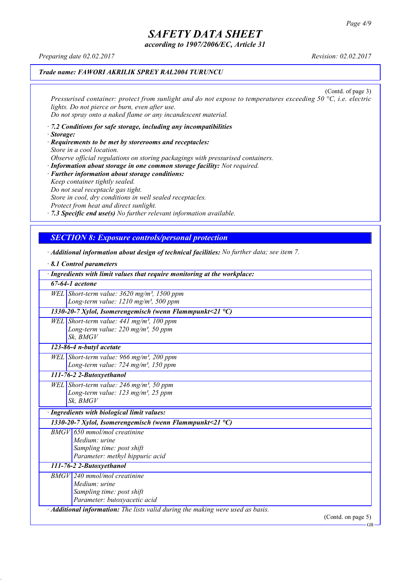*according to 1907/2006/EC, Article 31*

*Preparing date 02.02.2017 Revision: 02.02.2017*

### *Trade name: FAWORI AKRILIK SPREY RAL2004 TURUNCU*

(Contd. of page 3) *Pressurised container: protect from sunlight and do not expose to temperatures exceeding 50 °C, i.e. electric lights. Do not pierce or burn, even after use. Do not spray onto a naked flame or any incandescent material.*

- *· 7.2 Conditions for safe storage, including any incompatibilities · Storage:*
- *· Requirements to be met by storerooms and receptacles: Store in a cool location. Observe official regulations on storing packagings with pressurised containers.*
- *· Information about storage in one common storage facility: Not required. · Further information about storage conditions: Keep container tightly sealed. Do not seal receptacle gas tight. Store in cool, dry conditions in well sealed receptacles. Protect from heat and direct sunlight.*

*· 7.3 Specific end use(s) No further relevant information available.*

## *SECTION 8: Exposure controls/personal protection*

*· Additional information about design of technical facilities: No further data; see item 7.*

|                          | 8.1 Control parameters                                                                                                 |  |
|--------------------------|------------------------------------------------------------------------------------------------------------------------|--|
|                          | · Ingredients with limit values that require monitoring at the workplace:                                              |  |
| $67-64-1$ acetone        |                                                                                                                        |  |
|                          | WEL Short-term value: $3620$ mg/m <sup>3</sup> , 1500 ppm<br>Long-term value: 1210 mg/m <sup>3</sup> , 500 ppm         |  |
|                          | 1330-20-7 Xylol, Isomerengemisch (wenn Flammpunkt<21 $^{\circ}$ C)                                                     |  |
|                          | WEL Short-term value: 441 mg/m <sup>3</sup> , 100 ppm<br>Long-term value: $220$ mg/m <sup>3</sup> , 50 ppm<br>Sk, BMGV |  |
|                          | 123-86-4 n-butyl acetate                                                                                               |  |
|                          | WEL Short-term value: 966 mg/m <sup>3</sup> , 200 ppm<br>Long-term value: $724$ mg/m <sup>3</sup> , 150 ppm            |  |
|                          | 111-76-2 2-Butoxyethanol                                                                                               |  |
|                          | WEL Short-term value: 246 mg/m <sup>3</sup> , 50 ppm<br>Long-term value: $123$ mg/m <sup>3</sup> , 25 ppm<br>Sk, BMGV  |  |
|                          | · Ingredients with biological limit values:                                                                            |  |
|                          | 1330-20-7 Xylol, Isomerengemisch (wenn Flammpunkt<21 $^{\circ}$ C)                                                     |  |
|                          | $BMGV$ 650 mmol/mol creatinine<br>Medium: urine<br>Sampling time: post shift<br>Parameter: methyl hippuric acid        |  |
| 111-76-2 2-Butoxyethanol |                                                                                                                        |  |
|                          | $BMGV$ 240 mmol/mol creatinine<br>Medium: urine<br>Sampling time: post shift<br>Parameter: butoxyacetic acid           |  |
|                          | · Additional information: The lists valid during the making were used as basis.                                        |  |

(Contd. on page 5)

GB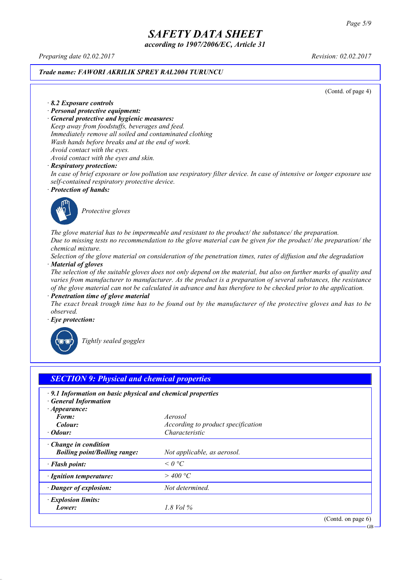*according to 1907/2006/EC, Article 31*

*Preparing date 02.02.2017 Revision: 02.02.2017*

#### *Trade name: FAWORI AKRILIK SPREY RAL2004 TURUNCU*

(Contd. of page 4)

*· 8.2 Exposure controls*

- *· Personal protective equipment:*
- *· General protective and hygienic measures:*

*Keep away from foodstuffs, beverages and feed. Immediately remove all soiled and contaminated clothing Wash hands before breaks and at the end of work. Avoid contact with the eyes.*

*Avoid contact with the eyes and skin.*

#### *· Respiratory protection:*

In case of brief exposure or low pollution use respiratory filter device. In case of intensive or longer exposure use *self-contained respiratory protective device.*

*· Protection of hands:*



*Protective gloves*

*The glove material has to be impermeable and resistant to the product/ the substance/ the preparation.* Due to missing tests no recommendation to the glove material can be given for the product/ the preparation/ the *chemical mixture.*

Selection of the glove material on consideration of the penetration times, rates of diffusion and the degradation *· Material of gloves*

The selection of the suitable gloves does not only depend on the material, but also on further marks of quality and *varies from manufacturer to manufacturer. As the product is a preparation of several substances, the resistance* of the glove material can not be calculated in advance and has therefore to be checked prior to the application.

*· Penetration time of glove material*

The exact break trough time has to be found out by the manufacturer of the protective gloves and has to be *observed.*

*· Eye protection:*



*Tightly sealed goggles*

| $\cdot$ 9.1 Information on basic physical and chemical properties<br><b>General Information</b><br>$\cdot$ Appearance: |                                    |  |
|------------------------------------------------------------------------------------------------------------------------|------------------------------------|--|
| Form:                                                                                                                  | Aerosol                            |  |
| Colour:                                                                                                                | According to product specification |  |
| $\cdot$ Odour:                                                                                                         | Characteristic                     |  |
| $\cdot$ Change in condition<br><b>Boiling point/Boiling range:</b>                                                     | Not applicable, as aerosol.        |  |
| · Flash point:                                                                                                         | $\leq$ 0 °C                        |  |
| · Ignition temperature:                                                                                                | $>$ 400 °C                         |  |
| · Danger of explosion:                                                                                                 | Not determined.                    |  |
| · Explosion limits:                                                                                                    |                                    |  |
| Lower:                                                                                                                 | 1.8 Vol $\%$                       |  |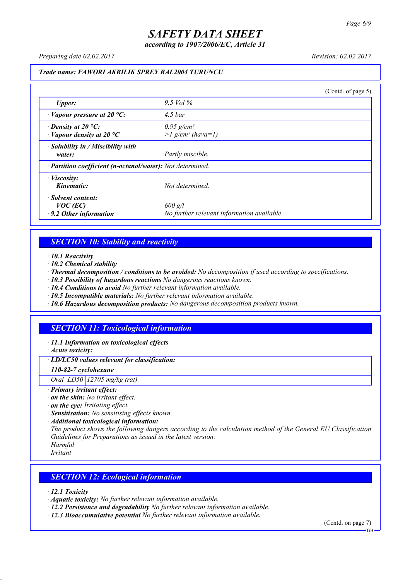*according to 1907/2006/EC, Article 31*

*Preparing date 02.02.2017 Revision: 02.02.2017*

#### *Trade name: FAWORI AKRILIK SPREY RAL2004 TURUNCU*

|                                                                   |                                                             | (Contd. of page 5) |
|-------------------------------------------------------------------|-------------------------------------------------------------|--------------------|
| <b>Upper:</b>                                                     | 9.5 Vol $\%$                                                |                    |
| $\cdot$ Vapour pressure at 20 °C:                                 | $4.5\,bar$                                                  |                    |
| $\cdot$ Density at 20 °C:<br>$\cdot$ Vapour density at 20 °C      | $0.95$ g/cm <sup>3</sup><br>$>l$ g/cm <sup>3</sup> (hava=1) |                    |
| $\cdot$ Solubility in / Miscibility with<br>water:                | Partly miscible.                                            |                    |
| · Partition coefficient (n-octanol/water): Not determined.        |                                                             |                    |
| $\cdot$ <i>Viscosity:</i><br>Kinematic:                           | Not determined.                                             |                    |
| · Solvent content:<br>$VOC$ (EC)<br>$\cdot$ 9.2 Other information | $600$ g/l<br>No further relevant information available.     |                    |

### *SECTION 10: Stability and reactivity*

*· 10.1 Reactivity*

- *· 10.2 Chemical stability*
- *· Thermal decomposition / conditions to be avoided: No decomposition if used according to specifications.*
- *· 10.3 Possibility of hazardous reactions No dangerous reactions known.*
- *· 10.4 Conditions to avoid No further relevant information available.*
- *· 10.5 Incompatible materials: No further relevant information available.*
- *· 10.6 Hazardous decomposition products: No dangerous decomposition products known.*

## *SECTION 11: Toxicological information*

*· 11.1 Information on toxicological effects*

*· Acute toxicity:*

*· LD/LC50 values relevant for classification:*

*110-82-7 cyclohexane*

*Oral LD50 12705 mg/kg (rat)*

- *· Primary irritant effect:*
- *· on the skin: No irritant effect.*
- *· on the eye: Irritating effect.*
- *· Sensitisation: No sensitising effects known.*
- *· Additional toxicological information:*

*The product shows the following dangers according to the calculation method of the General EU Classification Guidelines for Preparations as issued in the latest version:*

*Harmful Irritant*

### *SECTION 12: Ecological information*

*· 12.1 Toxicity*

- *· Aquatic toxicity: No further relevant information available.*
- *· 12.2 Persistence and degradability No further relevant information available.*
- *· 12.3 Bioaccumulative potential No further relevant information available.*

(Contd. on page 7) **GB**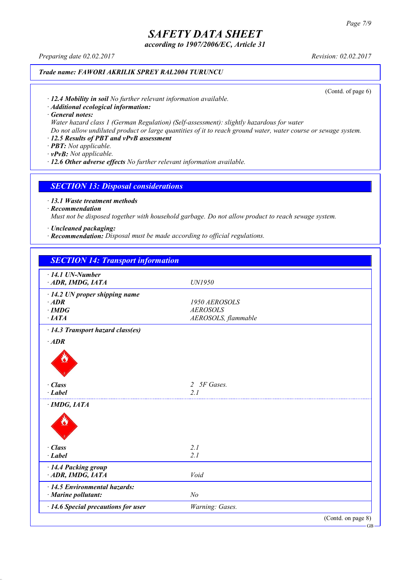*according to 1907/2006/EC, Article 31*

*Preparing date 02.02.2017 Revision: 02.02.2017*

### *Trade name: FAWORI AKRILIK SPREY RAL2004 TURUNCU*

(Contd. of page 6)

*· 12.4 Mobility in soil No further relevant information available.*

*· Additional ecological information:*

*· General notes:*

*Water hazard class 1 (German Regulation) (Self-assessment): slightly hazardous for water*

Do not allow undiluted product or large quantities of it to reach ground water, water course or sewage system.

## *· 12.5 Results of PBT and vPvB assessment*

*· PBT: Not applicable.*

*· vPvB: Not applicable.*

*· 12.6 Other adverse effects No further relevant information available.*

#### *SECTION 13: Disposal considerations*

*· 13.1 Waste treatment methods*

*· Recommendation*

*Must not be disposed together with household garbage. Do not allow product to reach sewage system.*

*· Uncleaned packaging:*

*· Recommendation: Disposal must be made according to official regulations.*

| <b>SECTION 14: Transport information</b>  |                             |                    |
|-------------------------------------------|-----------------------------|--------------------|
| $\cdot$ 14.1 UN-Number                    |                             |                    |
| ADR, IMDG, IATA                           | UN1950                      |                    |
| $\cdot$ 14.2 UN proper shipping name      |                             |                    |
| $·$ <i>ADR</i>                            | 1950 AEROSOLS               |                    |
| $\cdot$ IMDG                              | <b>AEROSOLS</b>             |                    |
| $\cdot$ IATA                              | AEROSOLS, flammable         |                    |
| · 14.3 Transport hazard class(es)         |                             |                    |
| $\cdot$ ADR                               |                             |                    |
|                                           |                             |                    |
| · Class                                   | 5F Gases.<br>$\overline{2}$ |                    |
| $\cdot$ Label                             | 2 <sub>1</sub>              |                    |
| $\cdot$ IMDG, IATA                        |                             |                    |
|                                           |                             |                    |
| $\cdot$ Class                             | 2.1                         |                    |
| $\cdot$ Label                             | 2.1                         |                    |
| · 14.4 Packing group                      |                             |                    |
| ADR, IMDG, IATA                           | Void                        |                    |
| $\cdot$ 14.5 Environmental hazards:       |                             |                    |
| · Marine pollutant:                       | N <sub>o</sub>              |                    |
| $\cdot$ 14.6 Special precautions for user | Warning: Gases.             |                    |
|                                           |                             | (Contd. on page 8) |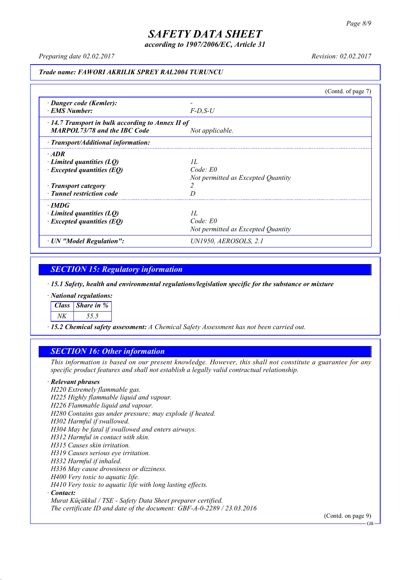*according to 1907/2006/EC, Article 31*

*Preparing date 02.02.2017 Revision: 02.02.2017*

#### *Trade name: FAWORI AKRILIK SPREY RAL2004 TURUNCU*

|                                                                                                                                   |                                                          | (Contd. of page $7$ ) |
|-----------------------------------------------------------------------------------------------------------------------------------|----------------------------------------------------------|-----------------------|
| · Danger code (Kemler):<br><b>EMS</b> Number:                                                                                     | $F-D$ , $S-U$                                            |                       |
| $\cdot$ 14.7 Transport in bulk according to Annex II of<br><b>MARPOL73/78 and the IBC Code</b>                                    | Not applicable.                                          |                       |
| $\cdot$ Transport/Additional information:                                                                                         |                                                          |                       |
| $\cdot$ ADR<br>Limited quantities $(LO)$<br>$\cdot$ Excepted quantities (EQ)<br>· Transport category<br>· Tunnel restriction code | II.<br>Code: E0<br>Not permitted as Excepted Quantity    |                       |
| $\cdot$ IMDG<br>Limited quantities $(LO)$<br>$\cdot$ Excepted quantities (EQ)                                                     | II.<br>$Code$ $E0$<br>Not permitted as Excepted Quantity |                       |
| · UN "Model Regulation":                                                                                                          | UN1950, AEROSOLS, 2.1                                    |                       |

## *SECTION 15: Regulatory information*

*· 15.1 Safety, health and environmental regulations/legislation specific for the substance or mixture*

*· National regulations:*

*Class Share in %*

*NK 55.5*

*· 15.2 Chemical safety assessment: A Chemical Safety Assessment has not been carried out.*

#### *SECTION 16: Other information*

This information is based on our present knowledge. However, this shall not constitute a guarantee for any *specific product features and shall not establish a legally valid contractual relationship.*

#### *· Relevant phrases*

*H220 Extremely flammable gas. H225 Highly flammable liquid and vapour. H226 Flammable liquid and vapour. H280 Contains gas under pressure; may explode if heated. H302 Harmful if swallowed. H304 May be fatal if swallowed and enters airways. H312 Harmful in contact with skin. H315 Causes skin irritation. H319 Causes serious eye irritation. H332 Harmful if inhaled. H336 May cause drowsiness or dizziness. H400 Very toxic to aquatic life. H410 Very toxic to aquatic life with long lasting effects. · Contact: Murat Küçükkul / TSE - Safety Data Sheet preparer certified.*

*The certificate ID and date of the document: GBF-A-0-2289 / 23.03.2016*

(Contd. on page 9)

GB